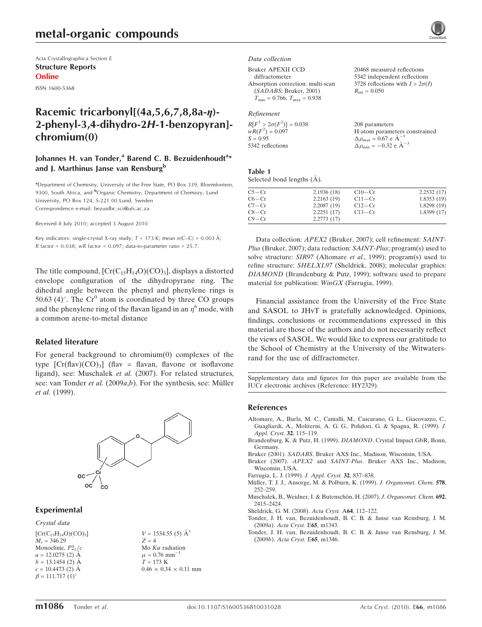# metal-organic compounds

Acta Crystallographica Section E Structure Reports Online

ISSN 1600-5368

# Racemic tricarbonyl[(4a,5,6,7,8,8a-*n*)-2-phenyl-3,4-dihydro-2H-1-benzopyran] chromium(0)

# Johannes H. van Tonder,<sup>a</sup> Barend C. B. Bezuidenhoudt<sup>a</sup>\* and J. Marthinus Janse van Rensburg<sup>b</sup>

<sup>a</sup>Department of Chemistry, University of the Free State, PO Box 339, Bloemfontein, 9300, South Africa, and <sup>b</sup>Organic Chemistry, Department of Chemisry, Lund University, PO Box 124, S-221 00 Lund, Sweden Correspondence e-mail: bezuidbc.sci@ufs.ac.za

Received 8 July 2010; accepted 3 August 2010

Key indicators: single-crystal X-ray study;  $T = 173$  K; mean  $\sigma$ (C–C) = 0.003 Å; R factor =  $0.038$ ; wR factor =  $0.097$ ; data-to-parameter ratio = 25.7.

The title compound,  $[Cr(C_{15}H_{14}O)(CO)_{3}]$ , displays a distorted envelope configuration of the dihydropyrane ring. The dihedral angle between the phenyl and phenylene rings is 50.63 (4)°. The  $Cr^0$  atom is coordinated by three CO groups and the phenylene ring of the flavan ligand in an  $\eta^6$  mode, with a common arene-to-metal distance

#### Related literature

For general background to chromium(0) complexes of the type  $[Cr(flav)(CO)<sub>3</sub>]$  (flav = flavan, flavone or isoflavone ligand), see: Muschalek et al. (2007). For related structures, see: van Tonder et al. (2009a,b). For the synthesis, see: Müller et al. (1999).



#### Experimental

Crystal data  $[Cr(C_{15}H_{14}O)(CO)_{3}]$  $M_r = 346.29$ Monoclinic,  $P2<sub>1</sub>/c$  $a = 12.0275$  (2) Å  $b = 13.1454$  (2) Å  $c = 10.4473$  (2) A  $\beta = 111.717 (1)^{\circ}$ 

 $V = 1534.55$  (5)  $\AA^3$  $Z = 4$ Mo  $K\alpha$  radiation  $\mu$  = 0.76 mm<sup>-</sup>  $T = 173 K$  $0.46\,\times\,0.34\,\times\,0.11$  mm Data collection

Bruker APEXII CCD

diffractometer Absorption correction: multi-scan (SADABS; Bruker, 2001)  $T_{\text{min}} = 0.766$ ,  $T_{\text{max}} = 0.938$ 

#### Refinement

| $R[F^2 > 2\sigma(F^2)] = 0.038$ | 208 parameters                                             |
|---------------------------------|------------------------------------------------------------|
| $wR(F^2) = 0.097$               | H-atom parameters constrained                              |
| $S = 0.95$                      | $\Delta \rho_{\text{max}} = 0.67 \text{ e A}^{-3}$         |
| 5342 reflections                | $\Delta \rho_{\rm min} = -0.32 \text{ e } \text{\AA}^{-3}$ |

20468 measured reflections 5342 independent reflections 3728 reflections with  $I > 2\sigma(I)$ 

 $R_{\text{int}} = 0.050$ 

| Table 1 |                            |  |
|---------|----------------------------|--|
|         | Selected bond lengths (A). |  |

| $C5 - Cr$ | 2.1936(18) | $C10-Cr$   | 2.2532(17) |
|-----------|------------|------------|------------|
| $C6 - Cr$ | 2.2163(19) | $C11 - Cr$ | 1.8353(19) |
| $C7 - Cr$ | 2.2087(19) | $C12-Cr$   | 1.8298(19) |
| $C8 - Cr$ | 2.2251(17) | $C13-Cr$   | 1.8399(17) |
| $C9 - Cr$ | 2.2773(17) |            |            |

Data collection: APEX2 (Bruker, 2007); cell refinement: SAINT-Plus (Bruker, 2007); data reduction: SAINT-Plus; program(s) used to solve structure: SIR97 (Altomare et al., 1999); program(s) used to refine structure: SHELXL97 (Sheldrick, 2008); molecular graphics: DIAMOND (Brandenburg & Putz, 1999); software used to prepare material for publication: WinGX (Farrugia, 1999).

Financial assistance from the University of the Free State and SASOL to JHvT is gratefully acknowledged. Opinions, findings, conclusions or recommendations expressed in this material are those of the authors and do not necessarily reflect the views of SASOL. We would like to express our gratitude to the School of Chemistry at the University of the Witwatersrand for the use of diffractometer.

Supplementary data and figures for this paper are available from the IUCr electronic archives (Reference: HY2329).

#### References

- [Altomare, A., Burla, M. C., Camalli, M., Cascarano, G. L., Giacovazzo, C.,](https://scripts.iucr.org/cgi-bin/cr.cgi?rm=pdfbb&cnor=hy2329&bbid=BB1) [Guagliardi, A., Moliterni, A. G. G., Polidori, G. & Spagna, R. \(1999\).](https://scripts.iucr.org/cgi-bin/cr.cgi?rm=pdfbb&cnor=hy2329&bbid=BB1) J. [Appl. Cryst.](https://scripts.iucr.org/cgi-bin/cr.cgi?rm=pdfbb&cnor=hy2329&bbid=BB1) 32, 115–119.
- [Brandenburg, K. & Putz, H. \(1999\).](https://scripts.iucr.org/cgi-bin/cr.cgi?rm=pdfbb&cnor=hy2329&bbid=BB2) DIAMOND. Crystal Impact GbR, Bonn, [Germany.](https://scripts.iucr.org/cgi-bin/cr.cgi?rm=pdfbb&cnor=hy2329&bbid=BB2)
- Bruker (2001). SADABS[. Bruker AXS Inc., Madison, Wisconsin, USA.](https://scripts.iucr.org/cgi-bin/cr.cgi?rm=pdfbb&cnor=hy2329&bbid=BB3)
- Bruker (2007). APEX2 and SAINT-Plus[. Bruker AXS Inc., Madison,](https://scripts.iucr.org/cgi-bin/cr.cgi?rm=pdfbb&cnor=hy2329&bbid=BB4) [Wisconsin, USA.](https://scripts.iucr.org/cgi-bin/cr.cgi?rm=pdfbb&cnor=hy2329&bbid=BB4)
- [Farrugia, L. J. \(1999\).](https://scripts.iucr.org/cgi-bin/cr.cgi?rm=pdfbb&cnor=hy2329&bbid=BB5) J. Appl. Cryst. 32, 837–838.
- Müller, T. J. J., Ansorge, M. & Polburn, K. (1999). J. Organomet. Chem. 578, [252–259.](https://scripts.iucr.org/cgi-bin/cr.cgi?rm=pdfbb&cnor=hy2329&bbid=BB6)
- Muschalek, B., Weidner, I. & Butenschön, H. (2007). J. Organomet. Chem. 692, [2415–2424.](https://scripts.iucr.org/cgi-bin/cr.cgi?rm=pdfbb&cnor=hy2329&bbid=BB7)
- [Sheldrick, G. M. \(2008\).](https://scripts.iucr.org/cgi-bin/cr.cgi?rm=pdfbb&cnor=hy2329&bbid=BB8) Acta Cryst. A64, 112–122.
- [Tonder, J. H. van, Bezuidenhoudt, B. C. B. & Janse van Rensburg, J. M.](https://scripts.iucr.org/cgi-bin/cr.cgi?rm=pdfbb&cnor=hy2329&bbid=BB9) (2009a). [Acta Cryst.](https://scripts.iucr.org/cgi-bin/cr.cgi?rm=pdfbb&cnor=hy2329&bbid=BB9) E65, m1343.
- [Tonder, J. H. van, Bezuidenhoudt, B. C. B. & Janse van Rensburg, J. M.](https://scripts.iucr.org/cgi-bin/cr.cgi?rm=pdfbb&cnor=hy2329&bbid=BB10) (2009b). [Acta Cryst.](https://scripts.iucr.org/cgi-bin/cr.cgi?rm=pdfbb&cnor=hy2329&bbid=BB10) E65, m1346.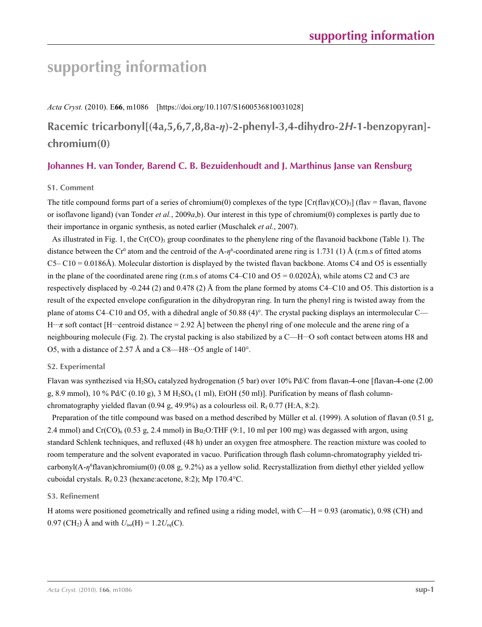# **supporting information**

*Acta Cryst.* (2010). E**66**, m1086 [https://doi.org/10.1107/S1600536810031028]

**Racemic tricarbonyl[(4a,5,6,7,8,8a-***η***)-2-phenyl-3,4-dihydro-2***H***-1-benzopyran] chromium(0)**

# **Johannes H. van Tonder, Barend C. B. Bezuidenhoudt and J. Marthinus Janse van Rensburg**

# **S1. Comment**

The title compound forms part of a series of chromium(0) complexes of the type  $[Cr(flav)(CO)_3]$  (flav = flavan, flavone or isoflavone ligand) (van Tonder *et al.*, 2009*a*,b). Our interest in this type of chromium(0) complexes is partly due to their importance in organic synthesis, as noted earlier (Muschalek *et al.*, 2007).

As illustrated in Fig. 1, the Cr(CO)<sub>3</sub> group coordinates to the phenylene ring of the flavanoid backbone (Table 1). The distance between the Cr<sup>0</sup> atom and the centroid of the A- $\eta^6$ -coordinated arene ring is 1.731 (1) Å (r.m.s of fitted atoms  $C5- C10 = 0.0186\text{\AA}$ ). Molecular distortion is displayed by the twisted flavan backbone. Atoms C4 and O5 is essentially in the plane of the coordinated arene ring (r.m.s of atoms  $C4 - C10$  and  $O5 = 0.0202\text{\AA}$ ), while atoms C2 and C3 are respectively displaced by -0.244 (2) and 0.478 (2) Å from the plane formed by atoms C4–C10 and O5. This distortion is a result of the expected envelope configuration in the dihydropyran ring. In turn the phenyl ring is twisted away from the plane of atoms C4–C10 and O5, with a dihedral angle of 50.88  $(4)^\circ$ . The crystal packing displays an intermolecular C— H···*π* soft contact [H···centroid distance = 2.92 Å] between the phenyl ring of one molecule and the arene ring of a neighbouring molecule (Fig. 2). The crystal packing is also stabilized by a C—H···O soft contact between atoms H8 and O5, with a distance of 2.57 Å and a C8—H8···O5 angle of 140°.

# **S2. Experimental**

Flavan was synthezised via H<sub>2</sub>SO<sub>4</sub> catalyzed hydrogenation (5 bar) over 10% Pd/C from flavan-4-one [flavan-4-one (2.00 g, 8.9 mmol), 10 % Pd/C (0.10 g), 3 M H<sub>2</sub>SO<sub>4</sub> (1 ml), EtOH (50 ml)]. Purification by means of flash columnchromatography yielded flavan  $(0.94 \text{ g}, 49.9\%)$  as a colourless oil.  $R_f$  0.77 (H:A, 8:2).

Preparation of the title compound was based on a method described by Müller et al. (1999). A solution of flavan (0.51 g, 2.4 mmol) and  $Cr(CO)_{6}$  (0.53 g, 2.4 mmol) in Bu<sub>2</sub>O:THF (9:1, 10 ml per 100 mg) was degassed with argon, using standard Schlenk techniques, and refluxed (48 h) under an oxygen free atmosphere. The reaction mixture was cooled to room temperature and the solvent evaporated in vacuo. Purification through flash column-chromatography yielded tricarbonyl(A-η<sup>6</sup>flavan)chromium(0) (0.08 g, 9.2%) as a yellow solid. Recrystallization from diethyl ether yielded yellow cuboidal crystals.  $R_f$  0.23 (hexane:acetone, 8:2); Mp 170.4°C.

## **S3. Refinement**

H atoms were positioned geometrically and refined using a riding model, with  $C-H = 0.93$  (aromatic), 0.98 (CH) and 0.97 (CH<sub>2</sub>) Å and with  $U_{iso}(H) = 1.2U_{eq}(C)$ .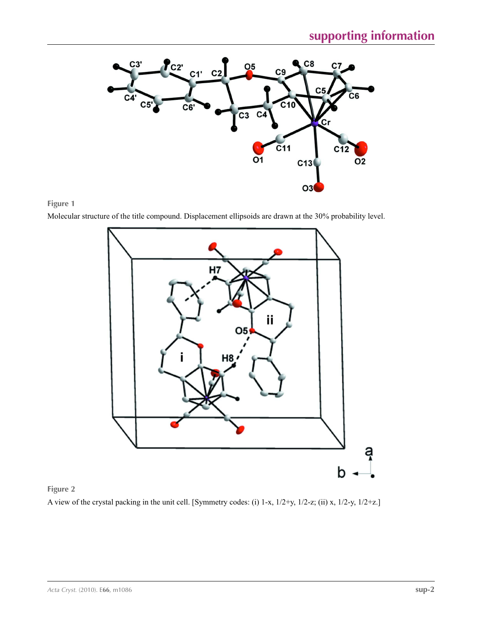



Molecular structure of the title compound. Displacement ellipsoids are drawn at the 30% probability level.



**Figure 2** A view of the crystal packing in the unit cell. [Symmetry codes: (i) 1-x, 1/2+y, 1/2-z; (ii) x, 1/2-y, 1/2+z.]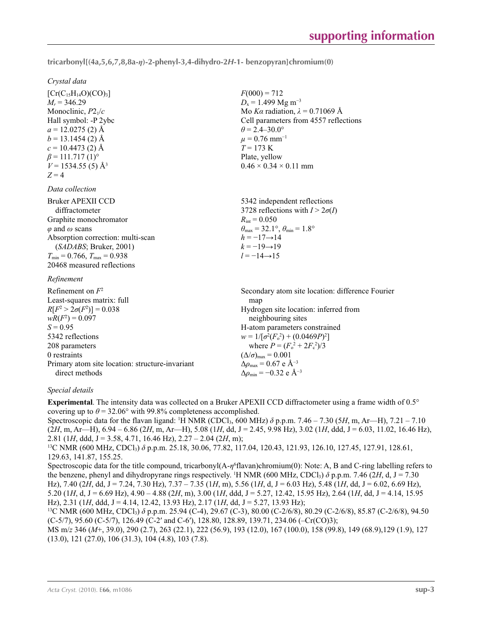**tricarbonyl[(4a,5,6,7,8,8a-***η***)-2-phenyl-3,4-dihydro-2***H***-1- benzopyran]chromium(0)** 

 $F(000) = 712$  $D_x = 1.499$  Mg m<sup>-3</sup>

 $\theta$  = 2.4–30.0°  $\mu$  = 0.76 mm<sup>-1</sup>  $T = 173$  K Plate, yellow

 $0.46 \times 0.34 \times 0.11$  mm

Mo *Kα* radiation,  $\lambda = 0.71069$  Å Cell parameters from 4557 reflections

### *Crystal data*

 $[Cr(C_{15}H_{14}O)(CO)_{3}]$  $M_r = 346.29$ Monoclinic, *P*21/*c* Hall symbol: -P 2ybc  $a = 12.0275$  (2) Å  $b = 13.1454(2)$  Å  $c = 10.4473$  (2) Å  $\beta$  = 111.717 (1)<sup>o</sup>  $V = 1534.55(5)$  Å<sup>3</sup>  $Z = 4$ 

### *Data collection*

| Bruker APEXII CCD                      | 5342 independent reflections                                            |
|----------------------------------------|-------------------------------------------------------------------------|
| diffractometer                         | 3728 reflections with $I > 2\sigma(I)$                                  |
| Graphite monochromator                 | $R_{\rm int} = 0.050$                                                   |
| $\varphi$ and $\omega$ scans           | $\theta_{\text{max}} = 32.1^{\circ}, \theta_{\text{min}} = 1.8^{\circ}$ |
| Absorption correction: multi-scan      | $h = -17 \rightarrow 14$                                                |
| (SADABS; Bruker, 2001)                 | $k = -19 \rightarrow 19$                                                |
| $T_{\min}$ = 0.766, $T_{\max}$ = 0.938 | $l = -14 \rightarrow 15$                                                |
| 20468 measured reflections             |                                                                         |
| Refinement                             |                                                                         |

## *Refinement*

| Refinement on $F^2$                             | Secondary atom site location: difference Fourier          |
|-------------------------------------------------|-----------------------------------------------------------|
| Least-squares matrix: full                      | map                                                       |
| $R[F^2 > 2\sigma(F^2)] = 0.038$                 | Hydrogen site location: inferred from                     |
| $wR(F^2) = 0.097$                               | neighbouring sites                                        |
| $S = 0.95$                                      | H-atom parameters constrained                             |
| 5342 reflections                                | $w = 1/[\sigma^2(F_0^2) + (0.0469P)^2]$                   |
| 208 parameters                                  | where $P = (F_o^2 + 2F_c^2)/3$                            |
| 0 restraints                                    | $(\Delta/\sigma)_{\text{max}} = 0.001$                    |
| Primary atom site location: structure-invariant | $\Delta\rho_{\text{max}}$ = 0.67 e Å <sup>-3</sup>        |
| direct methods                                  | $\Delta\rho_{\rm min} = -0.32 \text{ e } \text{\AA}^{-3}$ |

## *Special details*

**Experimental**. The intensity data was collected on a Bruker APEXII CCD diffractometer using a frame width of 0.5° covering up to  $\theta$  = 32.06° with 99.8% completeness accomplished.

Spectroscopic data for the flavan ligand: <sup>1</sup>H NMR (CDCl<sub>3</sub>, 600 MHz)  $\delta$  p.p.m. 7.46 – 7.30 (5H, m, Ar—H), 7.21 – 7.10 (2*H*, m, Ar—H), 6.94 – 6.86 (2*H*, m, Ar—H), 5.08 (1*H*, dd, J = 2.45, 9.98 Hz), 3.02 (1*H*, ddd, J = 6.03, 11.02, 16.46 Hz), 2.81 (1*H*, ddd, J = 3.58, 4.71, 16.46 Hz), 2.27 – 2.04 (2*H*, m);

<sup>13</sup>C NMR (600 MHz, CDCl<sub>3</sub>) δ p.p.m. 25.18, 30.06, 77.82, 117.04, 120.43, 121.93, 126.10, 127.45, 127.91, 128.61, 129.63, 141.87, 155.25.

Spectroscopic data for the title compound, tricarbonyl(A-*η*<sup>6</sup> flavan)chromium(0): Note: A, B and C-ring labelling refers to the benzene, phenyl and dihydropyrane rings respectively. <sup>1</sup>H NMR (600 MHz, CDCl<sub>3</sub>)  $\delta$  p.p.m. 7.46 (2H, d, J = 7.30) Hz), 7.40 (2*H*, dd, J = 7.24, 7.30 Hz), 7.37 – 7.35 (1*H*, m), 5.56 (1*H*, d, J = 6.03 Hz), 5.48 (1*H*, dd, J = 6.02, 6.69 Hz), 5.20 (1*H*, d, J = 6.69 Hz), 4.90 – 4.88 (2*H*, m), 3.00 (1*H*, ddd, J = 5.27, 12.42, 15.95 Hz), 2.64 (1*H*, dd, J = 4.14, 15.95 Hz), 2.31 (1*H*, ddd, J = 4.14, 12.42, 13.93 Hz), 2.17 (1*H*, dd, J = 5.27, 13.93 Hz);

<sup>13</sup>C NMR (600 MHz, CDCl<sub>3</sub>)  $\delta$  p.p.m. 25.94 (C-4), 29.67 (C-3), 80.00 (C-2/6/8), 80.29 (C-2/6/8), 85.87 (C-2/6/8), 94.50 (C-5/7), 95.60 (C-5/7), 126.49 (C-2′ and C-6′), 128.80, 128.89, 139.71, 234.06 (–Cr(CO)3);

MS m/*z* 346 (*M*+, 39.0), 290 (2.7), 263 (22.1), 222 (56.9), 193 (12.0), 167 (100.0), 158 (99.8), 149 (68.9),129 (1.9), 127 (13.0), 121 (27.0), 106 (31.3), 104 (4.8), 103 (7.8).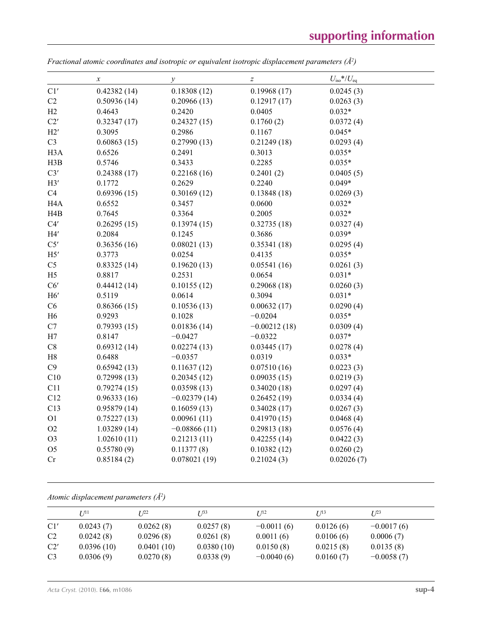|                  | $\boldsymbol{x}$ | $\mathcal{Y}$  | $\boldsymbol{Z}$ | $U_{\rm iso}*/U_{\rm eq}$ |
|------------------|------------------|----------------|------------------|---------------------------|
| C1'              | 0.42382(14)      | 0.18308(12)    | 0.19968(17)      | 0.0245(3)                 |
| C2               | 0.50936(14)      | 0.20966(13)    | 0.12917(17)      | 0.0263(3)                 |
| H2               | 0.4643           | 0.2420         | 0.0405           | $0.032*$                  |
| C2'              | 0.32347(17)      | 0.24327(15)    | 0.1760(2)        | 0.0372(4)                 |
| H2'              | 0.3095           | 0.2986         | 0.1167           | $0.045*$                  |
| C <sub>3</sub>   | 0.60863(15)      | 0.27990(13)    | 0.21249(18)      | 0.0293(4)                 |
| H <sub>3</sub> A | 0.6526           | 0.2491         | 0.3013           | $0.035*$                  |
| H3B              | 0.5746           | 0.3433         | 0.2285           | $0.035*$                  |
| C3'              | 0.24388(17)      | 0.22168(16)    | 0.2401(2)        | 0.0405(5)                 |
| H3'              | 0.1772           | 0.2629         | 0.2240           | $0.049*$                  |
| C4               | 0.69396(15)      | 0.30169(12)    | 0.13848(18)      | 0.0269(3)                 |
| H <sub>4</sub> A | 0.6552           | 0.3457         | 0.0600           | $0.032*$                  |
| H4B              | 0.7645           | 0.3364         | 0.2005           | $0.032*$                  |
| C4'              | 0.26295(15)      | 0.13974(15)    | 0.32735(18)      | 0.0327(4)                 |
| H4'              | 0.2084           | 0.1245         | 0.3686           | $0.039*$                  |
| C5'              | 0.36356(16)      | 0.08021(13)    | 0.35341(18)      | 0.0295(4)                 |
| H5'              | 0.3773           | 0.0254         | 0.4135           | $0.035*$                  |
| C <sub>5</sub>   | 0.83325(14)      | 0.19620(13)    | 0.05541(16)      | 0.0261(3)                 |
| H <sub>5</sub>   | 0.8817           | 0.2531         | 0.0654           | $0.031*$                  |
| C6'              | 0.44412(14)      | 0.10155(12)    | 0.29068(18)      | 0.0260(3)                 |
| H6'              | 0.5119           | 0.0614         | 0.3094           | $0.031*$                  |
| C6               | 0.86366(15)      | 0.10536(13)    | 0.00632(17)      | 0.0290(4)                 |
| H <sub>6</sub>   | 0.9293           | 0.1028         | $-0.0204$        | $0.035*$                  |
| C7               | 0.79393(15)      | 0.01836(14)    | $-0.00212(18)$   | 0.0309(4)                 |
| H7               | 0.8147           | $-0.0427$      | $-0.0322$        | $0.037*$                  |
| C8               | 0.69312(14)      | 0.02274(13)    | 0.03445(17)      | 0.0278(4)                 |
| $\rm H8$         | 0.6488           | $-0.0357$      | 0.0319           | $0.033*$                  |
| C9               | 0.65942(13)      | 0.11637(12)    | 0.07510(16)      | 0.0223(3)                 |
| C10              | 0.72998(13)      | 0.20345(12)    | 0.09035(15)      | 0.0219(3)                 |
| C11              | 0.79274(15)      | 0.03598(13)    | 0.34020(18)      | 0.0297(4)                 |
| C12              | 0.96333(16)      | $-0.02379(14)$ | 0.26452(19)      | 0.0334(4)                 |
| C13              | 0.95879(14)      | 0.16059(13)    | 0.34028(17)      | 0.0267(3)                 |
| O <sub>1</sub>   | 0.75227(13)      | 0.00961(11)    | 0.41970(15)      | 0.0468(4)                 |
| O <sub>2</sub>   | 1.03289(14)      | $-0.08866(11)$ | 0.29813(18)      | 0.0576(4)                 |
| O <sub>3</sub>   | 1.02610(11)      | 0.21213(11)    | 0.42255(14)      | 0.0422(3)                 |
| O <sub>5</sub>   | 0.55780(9)       | 0.11377(8)     | 0.10382(12)      | 0.0260(2)                 |
| Cr               | 0.85184(2)       | 0.078021(19)   | 0.21024(3)       | 0.02026(7)                |
|                  |                  |                |                  |                           |

*Fractional atomic coordinates and isotropic or equivalent isotropic displacement parameters (Å2 )*

*Atomic displacement parameters (Å2 )*

|                | $U^{11}$   | $I^{22}$   | $I^{\beta 3}$ | I/12         | $I/I^3$   | $I^{23}$     |
|----------------|------------|------------|---------------|--------------|-----------|--------------|
| C1'            | 0.0243(7)  | 0.0262(8)  | 0.0257(8)     | $-0.0011(6)$ | 0.0126(6) | $-0.0017(6)$ |
| C <sub>2</sub> | 0.0242(8)  | 0.0296(8)  | 0.0261(8)     | 0.0011(6)    | 0.0106(6) | 0.0006(7)    |
| C2'            | 0.0396(10) | 0.0401(10) | 0.0380(10)    | 0.0150(8)    | 0.0215(8) | 0.0135(8)    |
| C <sub>3</sub> | 0.0306(9)  | 0.0270(8)  | 0.0338(9)     | $-0.0040(6)$ | 0.0160(7) | $-0.0058(7)$ |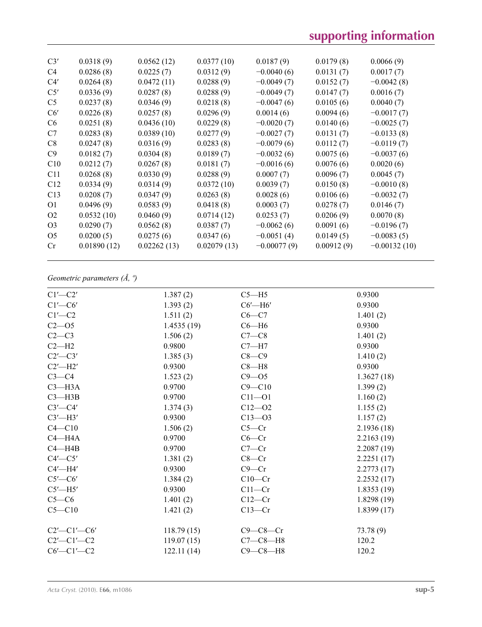# **supporting information**

| C3'            | 0.0318(9)   | 0.0562(12)  | 0.0377(10)  | 0.0187(9)     | 0.0179(8)  | 0.0066(9)      |
|----------------|-------------|-------------|-------------|---------------|------------|----------------|
| C4             | 0.0286(8)   | 0.0225(7)   | 0.0312(9)   | $-0.0040(6)$  | 0.0131(7)  | 0.0017(7)      |
| C4'            | 0.0264(8)   | 0.0472(11)  | 0.0288(9)   | $-0.0049(7)$  | 0.0152(7)  | $-0.0042(8)$   |
| C5'            | 0.0336(9)   | 0.0287(8)   | 0.0288(9)   | $-0.0049(7)$  | 0.0147(7)  | 0.0016(7)      |
| C <sub>5</sub> | 0.0237(8)   | 0.0346(9)   | 0.0218(8)   | $-0.0047(6)$  | 0.0105(6)  | 0.0040(7)      |
| C6'            | 0.0226(8)   | 0.0257(8)   | 0.0296(9)   | 0.0014(6)     | 0.0094(6)  | $-0.0017(7)$   |
| C <sub>6</sub> | 0.0251(8)   | 0.0436(10)  | 0.0229(8)   | $-0.0020(7)$  | 0.0140(6)  | $-0.0025(7)$   |
| C7             | 0.0283(8)   | 0.0389(10)  | 0.0277(9)   | $-0.0027(7)$  | 0.0131(7)  | $-0.0133(8)$   |
| C8             | 0.0247(8)   | 0.0316(9)   | 0.0283(8)   | $-0.0079(6)$  | 0.0112(7)  | $-0.0119(7)$   |
| C9             | 0.0182(7)   | 0.0304(8)   | 0.0189(7)   | $-0.0032(6)$  | 0.0075(6)  | $-0.0037(6)$   |
| C10            | 0.0212(7)   | 0.0267(8)   | 0.0181(7)   | $-0.0016(6)$  | 0.0076(6)  | 0.0020(6)      |
| C11            | 0.0268(8)   | 0.0330(9)   | 0.0288(9)   | 0.0007(7)     | 0.0096(7)  | 0.0045(7)      |
| C12            | 0.0334(9)   | 0.0314(9)   | 0.0372(10)  | 0.0039(7)     | 0.0150(8)  | $-0.0010(8)$   |
| C13            | 0.0208(7)   | 0.0347(9)   | 0.0263(8)   | 0.0028(6)     | 0.0106(6)  | $-0.0032(7)$   |
| 01             | 0.0496(9)   | 0.0583(9)   | 0.0418(8)   | 0.0003(7)     | 0.0278(7)  | 0.0146(7)      |
| O <sub>2</sub> | 0.0532(10)  | 0.0460(9)   | 0.0714(12)  | 0.0253(7)     | 0.0206(9)  | 0.0070(8)      |
| O <sub>3</sub> | 0.0290(7)   | 0.0562(8)   | 0.0387(7)   | $-0.0062(6)$  | 0.0091(6)  | $-0.0196(7)$   |
| O <sub>5</sub> | 0.0200(5)   | 0.0275(6)   | 0.0347(6)   | $-0.0051(4)$  | 0.0149(5)  | $-0.0083(5)$   |
| Cr             | 0.01890(12) | 0.02262(13) | 0.02079(13) | $-0.00077(9)$ | 0.00912(9) | $-0.00132(10)$ |
|                |             |             |             |               |            |                |

*Geometric parameters (Å, º)*

| $C1'$ — $C2'$         | 1.387(2)   | $C5 - H5$     | 0.9300      |
|-----------------------|------------|---------------|-------------|
| $C1'$ — $C6'$         | 1.393(2)   | $C6'$ -H $6'$ | 0.9300      |
| $C1'$ - $C2$          | 1.511(2)   | $C6-C7$       | 1.401(2)    |
| $C2 - 05$             | 1.4535(19) | $C6 - H6$     | 0.9300      |
| $C2-C3$               | 1.506(2)   | $C7-C8$       | 1.401(2)    |
| $C2-H2$               | 0.9800     | $C7 - H7$     | 0.9300      |
| $C2'$ — $C3'$         | 1.385(3)   | $C8-C9$       | 1.410(2)    |
| $C2'$ -H2'            | 0.9300     | $C8 - H8$     | 0.9300      |
| $C3-C4$               | 1.523(2)   | $C9 - 05$     | 1.3627(18)  |
| $C3 - H3A$            | 0.9700     | $C9 - C10$    | 1.399(2)    |
| $C3 - H3B$            | 0.9700     | $C11 - O1$    | 1.160(2)    |
| $C3'$ — $C4'$         | 1.374(3)   | $C12 - 02$    | 1.155(2)    |
| $C3'$ -H3'            | 0.9300     | $C13 - 03$    | 1.157(2)    |
| $C4 - C10$            | 1.506(2)   | $C5-Cr$       | 2.1936(18)  |
| $C4 - H4A$            | 0.9700     | $C6-Cr$       | 2.2163(19)  |
| $C4 - H4B$            | 0.9700     | $C7-Cr$       | 2.2087(19)  |
| $C4'$ — $C5'$         | 1.381(2)   | $C8-Cr$       | 2.2251(17)  |
| $C4'$ —H4'            | 0.9300     | $C9-Cr$       | 2.2773(17)  |
| $C5'$ — $C6'$         | 1.384(2)   | $C10-Cr$      | 2.2532(17)  |
| $C5'$ —H5'            | 0.9300     | $C11-Cr$      | 1.8353(19)  |
| $C5-C6$               | 1.401(2)   | $C12-Cr$      | 1.8298 (19) |
| $C5 - C10$            | 1.421(2)   | $C13-Cr$      | 1.8399(17)  |
|                       |            |               |             |
| $C2'$ - $C1'$ - $C6'$ | 118.79(15) | $C9-C8-Cr$    | 73.78 (9)   |
| $C2'$ - $C1'$ - $C2$  | 119.07(15) | $C7-C8-H8$    | 120.2       |
| $C6'$ - $C1'$ - $C2$  | 122.11(14) | $C9-C8-H8$    | 120.2       |
|                       |            |               |             |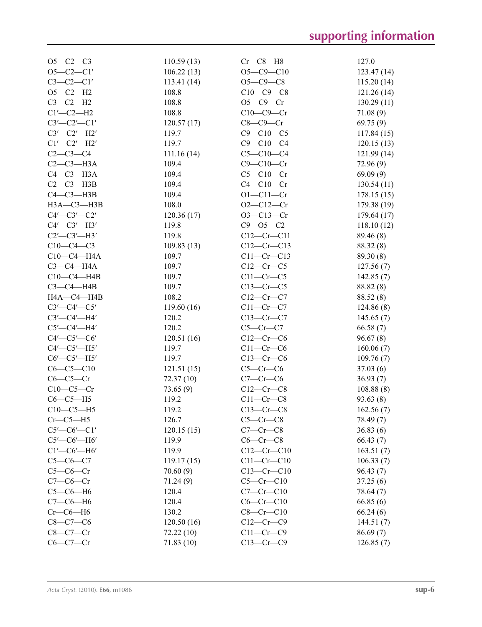| $O5 - C2 - C3$        | 110.59(13) | $Cr$ — $C8$ — $H8$ | 127.0       |
|-----------------------|------------|--------------------|-------------|
| $O5-C2-C1'$           | 106.22(13) | $O5-C9-C10$        | 123.47(14)  |
| $C3 - C2 - C1'$       | 113.41(14) | $O5 - C9 - C8$     | 115.20(14)  |
| $O5-C2-H2$            | 108.8      | $C10-C9-C8$        | 121.26(14)  |
| $C3-C2-H2$            | 108.8      | $O5-C9-Cr$         | 130.29(11)  |
| $C1'$ - $C2$ - $H2$   | 108.8      | $C10-C9-Cr$        | 71.08(9)    |
| $C3'$ - $C2'$ - $C1'$ | 120.57(17) | $C8-C9-Cr$         | 69.75(9)    |
| $C3'$ - $C2'$ - $H2'$ | 119.7      | $C9 - C10 - C5$    | 117.84(15)  |
| $Cl'$ -C2'-H2'        | 119.7      | $C9 - C10 - C4$    | 120.15(13)  |
| $C2-C3-C4$            | 111.16(14) | $C5 - C10 - C4$    | 121.99(14)  |
| $C2-C3-H3A$           | 109.4      | $C9 - C10 - Cr$    | 72.96(9)    |
| $C4-C3-H3A$           | 109.4      | $C5-C10-Cr$        | 69.09(9)    |
| $C2-C3-H3B$           | 109.4      | $C4-C10-Cr$        | 130.54(11)  |
| $C4 - C3 - H3B$       | 109.4      | $O1 - C11 - Cr$    | 178.15(15)  |
| НЗА-СЗ-НЗВ            | 108.0      | $O2 - C12 - Cr$    | 179.38 (19) |
| $C4'$ - $C3'$ - $C2'$ | 120.36(17) | $O3 - C13 - Cr$    | 179.64(17)  |
| $C4'$ - $C3'$ - $H3'$ | 119.8      | $C9 - 05 - C2$     |             |
|                       |            |                    | 118.10(12)  |
| $C2'$ - $C3'$ -H3'    | 119.8      | $C12-Cr-C11$       | 89.46 (8)   |
| $C10-C4-C3$           | 109.83(13) | $C12-Cr-C13$       | 88.32 (8)   |
| $C10-C4 - H4A$        | 109.7      | $C11-Cr-C13$       | 89.30 (8)   |
| $C3-C4-H4A$           | 109.7      | $C12-Cr-C5$        | 127.56(7)   |
| $C10-C4 - H4B$        | 109.7      | $C11-Cr-C5$        | 142.85(7)   |
| $C3-C4-H4B$           | 109.7      | $C13-Cr-C5$        | 88.82 (8)   |
| H4A-C4-H4B            | 108.2      | $C12-Cr-C7$        | 88.52 (8)   |
| $C3'$ - $C4'$ - $C5'$ | 119.60(16) | $C11-Cr-C7$        | 124.86(8)   |
| $C3'$ - $C4'$ -H4'    | 120.2      | $C13-Cr-C7$        | 145.65(7)   |
| $C5'$ - $C4'$ -H4'    | 120.2      | $C5-Cr-C7$         | 66.58(7)    |
| $C4'$ — $C5'$ — $C6'$ | 120.51(16) | $C12-Cr-C6$        | 96.67(8)    |
| $C4'$ - $C5'$ - $H5'$ | 119.7      | $C11-Cr-C6$        | 160.06(7)   |
| $C6'$ - $C5'$ - $H5'$ | 119.7      | $C13-Cr-C6$        | 109.76(7)   |
| $C6-C5-C10$           | 121.51(15) | $C5-Cr-C6$         | 37.03(6)    |
| $C6-C5-Cr$            | 72.37 (10) | $C7-Cr-C6$         | 36.93(7)    |
| $C10-C5-Cr$           | 73.65(9)   | $C12-Cr-C8$        | 108.88(8)   |
| $C6-C5-H5$            | 119.2      | $C11-Cr-C8$        | 93.63(8)    |
| $C10-C5-H5$           | 119.2      | $C13-Cr-C8$        | 162.56(7)   |
| $Cr$ — $C$ 5— $H$ 5   | 126.7      | $C5-Cr-C8$         | 78.49 (7)   |
| $C5'$ - $C6'$ - $C1'$ | 120.15(15) | $C7-Cr-C8$         | 36.83(6)    |
| $C5'$ - $C6'$ - $H6'$ | 119.9      | $C6-Cr-C8$         | 66.43(7)    |
| $Cl'$ - $C6'$ - $H6'$ | 119.9      | $C12-Cr-C10$       | 163.51(7)   |
| $C5-C6-C7$            | 119.17(15) | $C11-Cr-C10$       | 106.33(7)   |
| $C5-C6-Cr$            | 70.60(9)   | $C13-Cr-C10$       | 96.43(7)    |
| $C7-C6-Cr$            |            | $C5-Cr-C10$        |             |
|                       | 71.24(9)   |                    | 37.25(6)    |
| $C5-C6-H6$            | 120.4      | $C7-Cr-C10$        | 78.64 (7)   |
| $C7-C6-H6$            | 120.4      | $C6-Cr-C10$        | 66.85(6)    |
| $Cr$ — $C$ 6— $H$ 6   | 130.2      | $C8-Cr-C10$        | 66.24(6)    |
| $C8 - C7 - C6$        | 120.50(16) | $C12-Cr-C9$        | 144.51(7)   |
| $C8-C7-Cr$            | 72.22(10)  | $C11-Cr-C9$        | 86.69(7)    |
| $C6-C7-Cr$            | 71.83 (10) | $C13-Cr-C9$        | 126.85(7)   |